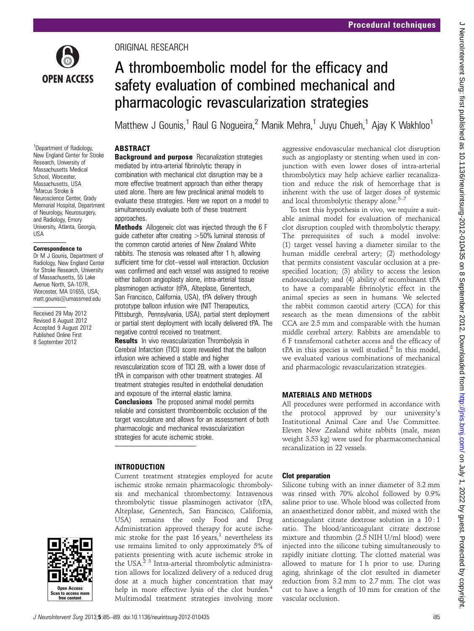

ORIGINAL RESEARCH

# A thromboembolic model for the efficacy and safety evaluation of combined mechanical and pharmacologic revascularization strategies

Matthew J Gounis,<sup>1</sup> Raul G Nogueira,<sup>2</sup> Manik Mehra,<sup>1</sup> Juyu Chueh,<sup>1</sup> Ajay K Wakhloo<sup>1</sup>

# ABSTRACT

<sup>1</sup>Department of Radiology, New England Center for Stroke Research, University of Massachusetts Medical School, Worcester, Massachusetts, USA 2 Marcus Stroke & Neuroscience Center, Grady Memorial Hospital, Department of Neurology, Neurosurgery, and Radiology, Emory University, Atlanta, Georgia, USA

### Correspondence to

Dr M J Gounis, Department of Radiology, New England Center for Stroke Research, University of Massachusetts, 55 Lake Avenue North, SA-107R, Worcester, MA 01655, USA; matt.gounis@umassmed.edu

Received 29 May 2012 Revised 8 August 2012 Accepted 9 August 2012 Published Online First 8 September 2012



**Background and purpose** Recanalization strategies mediated by intra-arterial fibrinolytic therapy in combination with mechanical clot disruption may be a more effective treatment approach than either therapy used alone. There are few preclinical animal models to evaluate these strategies. Here we report on a model to simultaneously evaluate both of these treatment approaches.

Methods Allogeneic clot was injected through the 6 F guide catheter after creating >50% luminal stenosis of the common carotid arteries of New Zealand White rabbits. The stenosis was released after 1 h, allowing sufficient time for clot–vessel wall interaction. Occlusion was confirmed and each vessel was assigned to receive either balloon angioplasty alone, intra-arterial tissue plasminogen activator (tPA, Alteplase, Genentech, San Francisco, California, USA), tPA delivery through prototype balloon infusion wire (NIT Therapeutics, Pittsburgh, Pennsylvania, USA), partial stent deployment or partial stent deployment with locally delivered tPA. The negative control received no treatment.

**Results** In vivo revascularization Thrombolysis in Cerebral Infarction (TICI) score revealed that the balloon infusion wire achieved a stable and higher revascularization score of TICI 2B, with a lower dose of tPA in comparison with other treatment strategies. All treatment strategies resulted in endothelial denudation and exposure of the internal elastic lamina.

**Conclusions** The proposed animal model permits reliable and consistent thromboembolic occlusion of the target vasculature and allows for an assessment of both pharmacologic and mechanical revascularization strategies for acute ischemic stroke.

# INTRODUCTION

Current treatment strategies employed for acute ischemic stroke remain pharmacologic thrombolysis and mechanical thrombectomy. Intravenous thrombolytic tissue plasminogen activator (tPA, Alteplase, Genentech, San Francisco, California, USA) remains the only Food and Drug Administration approved therapy for acute ischemic stroke for the past  $16$  years,<sup>1</sup> nevertheless its use remains limited to only approximately 5% of patients presenting with acute ischemic stroke in the USA.<sup>2 3</sup> Intra-arterial thrombolytic administration allows for localized delivery of a reduced drug dose at a much higher concentration that may help in more effective lysis of the clot burden.<sup>4</sup> Multimodal treatment strategies involving more

aggressive endovascular mechanical clot disruption such as angioplasty or stenting when used in conjunction with even lower doses of intra-arterial thrombolytics may help achieve earlier recanalization and reduce the risk of hemorrhage that is inherent with the use of larger doses of systemic and local thrombolytic therapy alone. $5-7$ 

To test this hypothesis in vivo, we require a suitable animal model for evaluation of mechanical clot disruption coupled with thrombolytic therapy. The prerequisites of such a model involve: (1) target vessel having a diameter similar to the human middle cerebral artery; (2) methodology that permits consistent vascular occlusion at a prespecified location; (3) ability to access the lesion endovascularly; and (4) ability of recombinant tPA to have a comparable fibrinolytic effect in the animal species as seen in humans. We selected the rabbit common carotid artery (CCA) for this research as the mean dimensions of the rabbit CCA are 2.5 mm and comparable with the human middle cerebral artery. Rabbits are amendable to 6 F transfemoral catheter access and the efficacy of  $tPA$  in this species is well studied. $8$  In this model, we evaluated various combinations of mechanical and pharmacologic revascularization strategies.

# MATERIALS AND METHODS

All procedures were performed in accordance with the protocol approved by our university's Institutional Animal Care and Use Committee. Eleven New Zealand white rabbits (male, mean weight 3.53 kg) were used for pharmacomechanical recanalization in 22 vessels.

# Clot preparation

Silicone tubing with an inner diameter of 3.2 mm was rinsed with 70% alcohol followed by 0.9% saline prior to use. Whole blood was collected from an anaesthetized donor rabbit, and mixed with the anticoagulant citrate dextrose solution in a 10 : 1 ratio. The blood/anticoagulant citrate dextrose mixture and thrombin (2.5 NIH U/ml blood) were injected into the silicone tubing simultaneously to rapidly initiate clotting. The clotted material was allowed to mature for 1 h prior to use. During aging, shrinkage of the clot resulted in diameter reduction from 3.2 mm to 2.7 mm. The clot was cut to have a length of 10 mm for creation of the vascular occlusion.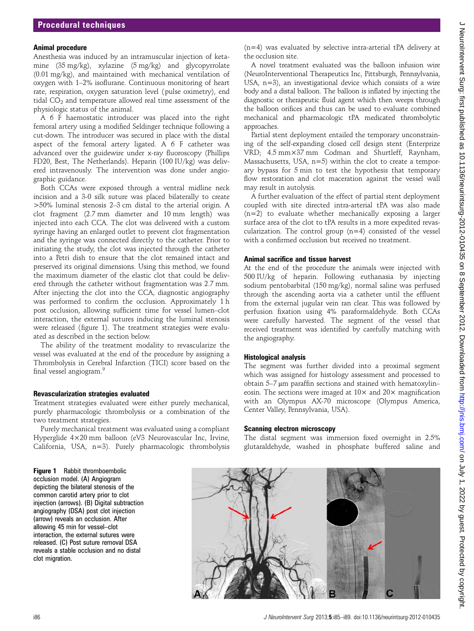## Animal procedure

Anesthesia was induced by an intramuscular injection of ketamine (35 mg/kg), xylazine (5 mg/kg) and glycopyrrolate (0.01 mg/kg), and maintained with mechanical ventilation of oxygen with 1–2% isoflurane. Continuous monitoring of heart rate, respiration, oxygen saturation level (pulse oximetry), end tidal  $CO<sub>2</sub>$  and temperature allowed real time assessment of the physiologic status of the animal.

A 6 F haemostatic introducer was placed into the right femoral artery using a modified Seldinger technique following a cut-down. The introducer was secured in place with the distal aspect of the femoral artery ligated. A 6 F catheter was advanced over the guidewire under x-ray fluoroscopy (Phillips FD20, Best, The Netherlands). Heparin (100 IU/kg) was delivered intravenously. The intervention was done under angiographic guidance.

Both CCAs were exposed through a ventral midline neck incision and a 3-0 silk suture was placed bilaterally to create >50% luminal stenosis 2–3 cm distal to the arterial origin. A clot fragment (2.7 mm diameter and 10 mm length) was injected into each CCA. The clot was delivered with a custom syringe having an enlarged outlet to prevent clot fragmentation and the syringe was connected directly to the catheter. Prior to initiating the study, the clot was injected through the catheter into a Petri dish to ensure that the clot remained intact and preserved its original dimensions. Using this method, we found the maximum diameter of the elastic clot that could be delivered through the catheter without fragmentation was 2.7 mm. After injecting the clot into the CCA, diagnostic angiography was performed to confirm the occlusion. Approximately 1 h post occlusion, allowing sufficient time for vessel lumen–clot interaction, the external sutures inducing the luminal stenosis were released (figure 1). The treatment strategies were evaluated as described in the section below.

The ability of the treatment modality to revascularize the vessel was evaluated at the end of the procedure by assigning a Thrombolysis in Cerebral Infarction (TICI) score based on the final vessel angiogram.<sup>9</sup>

## Revascularization strategies evaluated

Treatment strategies evaluated were either purely mechanical, purely pharmacologic thrombolysis or a combination of the two treatment strategies.

Purely mechanical treatment was evaluated using a compliant Hyperglide 4×20 mm balloon (eV3 Neurovascular Inc, Irvine, California, USA, n=3). Purely pharmacologic thrombolysis (n=4) was evaluated by selective intra-arterial tPA delivery at the occlusion site.

A novel treatment evaluated was the balloon infusion wire (NeuroInterventional Therapeutics Inc, Pittsburgh, Pennsylvania, USA, n=3), an investigational device which consists of a wire body and a distal balloon. The balloon is inflated by injecting the diagnostic or therapeutic fluid agent which then weeps through the balloon orifices and thus can be used to evaluate combined mechanical and pharmacologic tPA medicated thrombolytic approaches.

Partial stent deployment entailed the temporary unconstraining of the self-expanding closed cell design stent (Enterprize VRD; 4.5 mm×37 mm Codman and Shurtleff, Raynham, Massachusetts, USA, n=5) within the clot to create a temporary bypass for 5 min to test the hypothesis that temporary flow restoration and clot maceration against the vessel wall may result in autolysis.

A further evaluation of the effect of partial stent deployment coupled with site directed intra-arterial tPA was also made (n=2) to evaluate whether mechanically exposing a larger surface area of the clot to tPA results in a more expedited revascularization. The control group  $(n=4)$  consisted of the vessel with a confirmed occlusion but received no treatment.

## Animal sacrifice and tissue harvest

At the end of the procedure the animals were injected with 500 IU/kg of heparin. Following euthanasia by injecting sodium pentobarbital (150 mg/kg), normal saline was perfused through the ascending aorta via a catheter until the effluent from the external jugular vein ran clear. This was followed by perfusion fixation using 4% paraformaldehyde. Both CCAs were carefully harvested. The segment of the vessel that received treatment was identified by carefully matching with the angiography.

## Histological analysis

The segment was further divided into a proximal segment which was assigned for histology assessment and processed to obtain 5–7 μm paraffin sections and stained with hematoxylin– eosin. The sections were imaged at  $10\times$  and  $20\times$  magnification with an Olympus AX-70 microscope (Olympus America, Center Valley, Pennsylvania, USA).

### Scanning electron microscopy

The distal segment was immersion fixed overnight in 2.5% glutaraldehyde, washed in phosphate buffered saline and

#### Figure 1 Rabbit thromboembolic occlusion model. (A) Angiogram

depicting the bilateral stenosis of the common carotid artery prior to clot injection (arrows). (B) Digital subtraction angiography (DSA) post clot injection (arrow) reveals an occlusion. After allowing 45 min for vessel–clot interaction, the external sutures were released. (C) Post suture removal DSA reveals a stable occlusion and no distal clot migration.

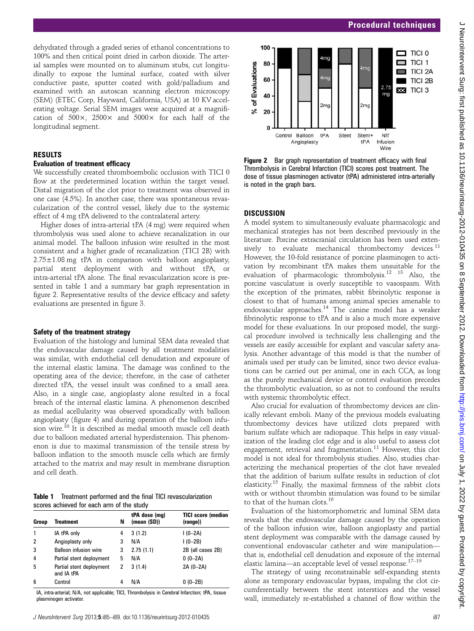dehydrated through a graded series of ethanol concentrations to 100% and then critical point dried in carbon dioxide. The arterial samples were mounted on to aluminum stubs, cut longitudinally to expose the luminal surface, coated with silver conductive paste, sputter coated with gold/palladium and examined with an autoscan scanning electron microscopy (SEM) (ETEC Corp, Hayward, California, USA) at 10 KV accelerating voltage. Serial SEM images were acquired at a magnification of  $500 \times 2500 \times$  and  $5000 \times$  for each half of the longitudinal segment.

## RESULTS

#### Evaluation of treatment efficacy

We successfully created thromboembolic occlusion with TICI 0 flow at the predetermined location within the target vessel. Distal migration of the clot prior to treatment was observed in one case (4.5%). In another case, there was spontaneous revascularization of the control vessel, likely due to the systemic effect of 4 mg tPA delivered to the contralateral artery.

Higher doses of intra-arterial tPA (4 mg) were required when thrombolysis was used alone to achieve recanalization in our animal model. The balloon infusion wire resulted in the most consistent and a higher grade of recanalization (TICI 2B) with 2.75±1.08 mg tPA in comparison with balloon angioplasty, partial stent deployment with and without tPA, or intra-arterial tPA alone. The final revascularization score is presented in table 1 and a summary bar graph representation in figure 2. Representative results of the device efficacy and safety evaluations are presented in figure 3.

## Safety of the treatment strategy

Evaluation of the histology and luminal SEM data revealed that the endovascular damage caused by all treatment modalities was similar, with endothelial cell denudation and exposure of the internal elastic lamina. The damage was confined to the operating area of the device; therefore, in the case of catheter directed tPA, the vessel insult was confined to a small area. Also, in a single case, angioplasty alone resulted in a focal breach of the internal elastic lamina. A phenomenon described as medial acellularity was observed sporadically with balloon angioplasty (figure 4) and during operation of the balloon infusion wire.10 It is described as medial smooth muscle cell death due to balloon mediated arterial hyperdistension. This phenomenon is due to maximal transmission of the tensile stress by balloon inflation to the smooth muscle cells which are firmly attached to the matrix and may result in membrane disruption and cell death.

Table 1 Treatment performed and the final TICI revascularization scores achieved for each arm of the study

| Group | Treatment                              | N | tPA dose (mg)<br>(mean (SD)) | <b>TICI score (median</b><br>(range)) |
|-------|----------------------------------------|---|------------------------------|---------------------------------------|
|       | IA tPA only                            | 4 | 3(1.2)                       | $1(0-2A)$                             |
| 2     | Angioplasty only                       | 3 | N/A                          | $1(0-2B)$                             |
| 3     | <b>Balloon infusion wire</b>           | 3 | 2.75(1.1)                    | 2B (all cases 2B)                     |
| 4     | Partial stent deployment               | 5 | N/A                          | $0(0-2A)$                             |
| 5     | Partial stent deployment<br>and IA tPA | 2 | 3(1.4)                       | 2A (0-2A)                             |
| 6     | Control                                | 4 | N/A                          | $0(0-2B)$                             |

IA, intra-arterial; N/A, not applicable; TICI, Thrombolysis in Cerebral Infarction; tPA, tissue plasminogen activator.



Figure 2 Bar graph representation of treatment efficacy with final Thrombolysis in Cerebral Infarction (TICI) scores post treatment. The dose of tissue plasminogen activator (tPA) administered intra-arterially is noted in the graph bars.

## **DISCUSSION**

A model system to simultaneously evaluate pharmacologic and mechanical strategies has not been described previously in the literature. Porcine extracranial circulation has been used extensively to evaluate mechanical thrombectomy devices.<sup>11</sup> However, the 10-fold resistance of porcine plasminogen to activation by recombinant tPA makes them unsuitable for the evaluation of pharmacologic thrombolysis.<sup>12</sup> <sup>13</sup> Also, the porcine vasculature is overly susceptible to vasospasm. With the exception of the primates, rabbit fibrinolytic response is closest to that of humans among animal species amenable to endovascular approaches.<sup>14</sup> The canine model has a weaker fibrinolytic response to tPA and is also a much more expensive model for these evaluations. In our proposed model, the surgical procedure involved is technically less challenging and the vessels are easily accessible for explant and vascular safety analysis. Another advantage of this model is that the number of animals used per study can be limited, since two device evaluations can be carried out per animal, one in each CCA, as long as the purely mechanical device or control evaluation precedes the thrombolytic evaluation, so as not to confound the results with systemic thrombolytic effect.

Also crucial for evaluation of thrombectomy devices are clinically relevant emboli. Many of the previous models evaluating thrombectomy devices have utilized clots prepared with barium sulfate which are radiopaque. This helps in easy visualization of the leading clot edge and is also useful to assess clot engagement, retrieval and fragmentation.<sup>11</sup> However, this clot model is not ideal for thrombolysis studies. Also, studies characterizing the mechanical properties of the clot have revealed that the addition of barium sulfate results in reduction of clot elasticity.<sup>15</sup> Finally, the maximal firmness of the rabbit clots with or without thrombin stimulation was found to be similar to that of the human clots.<sup>16</sup>

Evaluation of the histomorphometric and luminal SEM data reveals that the endovascular damage caused by the operation of the balloon infusion wire, balloon angioplasty and partial stent deployment was comparable with the damage caused by conventional endovascular catheter and wire manipulation that is, endothelial cell denudation and exposure of the internal elastic lamina—an acceptable level of vessel response.<sup>17-19</sup>

The strategy of using reconstrainable self-expanding stents alone as temporary endovascular bypass, impaling the clot circumferentially between the stent interstices and the vessel wall, immediately re-established a channel of flow within the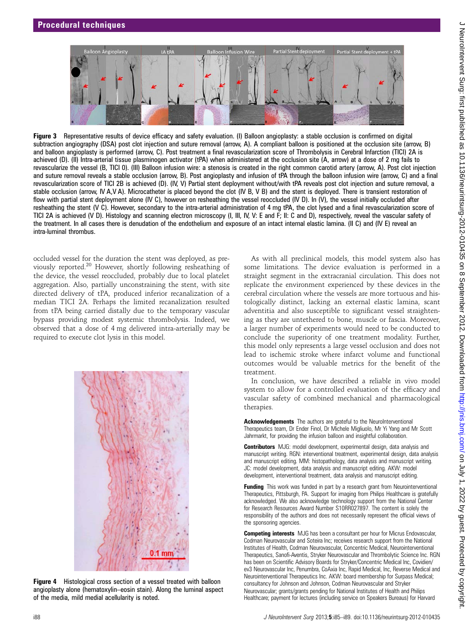

Figure 3 Representative results of device efficacy and safety evaluation. (I) Balloon angioplasty: a stable occlusion is confirmed on digital subtraction angiography (DSA) post clot injection and suture removal (arrow, A). A compliant balloon is positioned at the occlusion site (arrow, B) and balloon angioplasty is performed (arrow, C). Post treatment a final revascularization score of Thrombolysis in Cerebral Infarction (TICI) 2A is achieved (D). (II) Intra-arterial tissue plasminogen activator (tPA) when administered at the occlusion site (A, arrow) at a dose of 2 mg fails to revascularize the vessel (B, TICI 0). (III) Balloon infusion wire: a stenosis is created in the right common carotid artery (arrow, A). Post clot injection and suture removal reveals a stable occlusion (arrow, B). Post angioplasty and infusion of tPA through the balloon infusion wire (arrow, C) and a final revascularization score of TICI 2B is achieved (D). (IV, V) Partial stent deployment without/with tPA reveals post clot injection and suture removal, a stable occlusion (arrow, IV A,V A). Microcatheter is placed beyond the clot (IV B, V B) and the stent is deployed. There is transient restoration of flow with partial stent deployment alone (IV C), however on resheathing the vessel reoccluded (IV D). In (V), the vessel initially occluded after resheathing the stent (V C). However, secondary to the intra-arterial administration of 4 mg tPA, the clot lysed and a final revascularization score of TICI 2A is achieved (V D). Histology and scanning electron microscopy (I, III, IV, V: E and F; II: C and D), respectively, reveal the vascular safety of the treatment. In all cases there is denudation of the endothelium and exposure of an intact internal elastic lamina. (II C) and (IV E) reveal an intra-luminal thrombus.

occluded vessel for the duration the stent was deployed, as previously reported.20 However, shortly following resheathing of the device, the vessel reoccluded, probably due to local platelet aggregation. Also, partially unconstraining the stent, with site directed delivery of tPA, produced inferior recanalization of a median TICI 2A. Perhaps the limited recanalization resulted from tPA being carried distally due to the temporary vascular bypass providing modest systemic thrombolysis. Indeed, we observed that a dose of 4 mg delivered intra-arterially may be required to execute clot lysis in this model.



Figure 4 Histological cross section of a vessel treated with balloon angioplasty alone (hematoxylin–eosin stain). Along the luminal aspect of the media, mild medial acellularity is noted.

As with all preclinical models, this model system also has some limitations. The device evaluation is performed in a straight segment in the extracranial circulation. This does not replicate the environment experienced by these devices in the cerebral circulation where the vessels are more tortuous and histologically distinct, lacking an external elastic lamina, scant adventitia and also susceptible to significant vessel straightening as they are untethered to bone, muscle or fascia. Moreover, a larger number of experiments would need to be conducted to conclude the superiority of one treatment modality. Further, this model only represents a large vessel occlusion and does not lead to ischemic stroke where infarct volume and functional outcomes would be valuable metrics for the benefit of the treatment.

In conclusion, we have described a reliable in vivo model system to allow for a controlled evaluation of the efficacy and vascular safety of combined mechanical and pharmacological therapies.

Acknowledgements The authors are grateful to the NeuroInterventional Therapeutics team, Dr Ender Finol, Dr Michele Migliuolo, Mr Yi Yang and Mr Scott Jahrmarkt, for providing the infusion balloon and insightful collaboration.

Contributors MJG: model development, experimental design, data analysis and manuscript writing. RGN: interventional treatment, experimental design, data analysis and manuscript editing. MM: histopathology, data analysis and manuscript writing. JC: model development, data analysis and manuscript editing. AKW: model development, interventional treatment, data analysis and manuscript editing.

Funding This work was funded in part by a research grant from Neurointerventional Therapeutics, Pittsburgh, PA. Support for imaging from Philips Healthcare is gratefully acknowledged. We also acknowledge technology support from the National Center for Research Resources Award Number S10RR027897. The content is solely the responsibility of the authors and does not necessarily represent the official views of the sponsoring agencies.

Competing interests MJG has been a consultant per hour for Micrus Endovascular, Codman Neurovascular and Soteira Inc; receives research support from the National Institutes of Health, Codman Neurovascular, Concentric Medical, Neurointerventional Therapeutics, Sanofi-Aventis, Stryker Neurovascular and Thrombolytic Science Inc. RGN has been on Scientific Advisory Boards for Stryker/Concentric Medical Inc, Covidien/ ev3 Neurovascular Inc, Penumbra, CoAxia Inc, Rapid Medical, Inc, Reverse Medical and Neurointerventional Therapeutics Inc. AKW: board membership for Surpass Medical; consultancy for Johnson and Johnson, Codman Neurovascular and Stryker Neurovascular; grants/grants pending for National Institutes of Health and Philips Healthcare; payment for lectures (including service on Speakers Bureaus) for Harvard